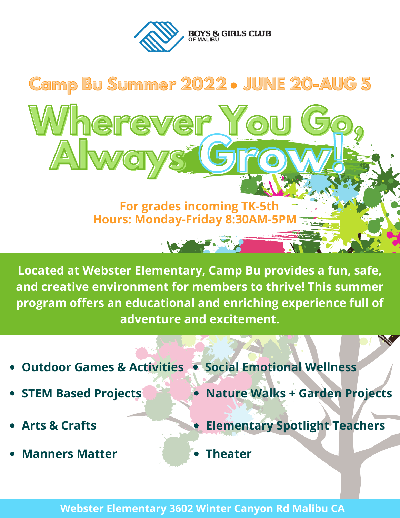



Located at Webster Elementary, Camp Bu provides a fun, safe, and creative environment for members to thrive! This summer program offers an educational and enriching experience full of adventure and excitement.

- **Outdoor Games & Activities . Social Emotional Wellness**
- **STEM Based Projects**
- **Arts & Crafts**
- **Manners Matter**
- 
- · Nature Walks + Garden Projects
	- **Elementary Spotlight Teachers**
- **Theater**

**Webster Elementary 3602 Winter Canyon Rd Malibu CA**